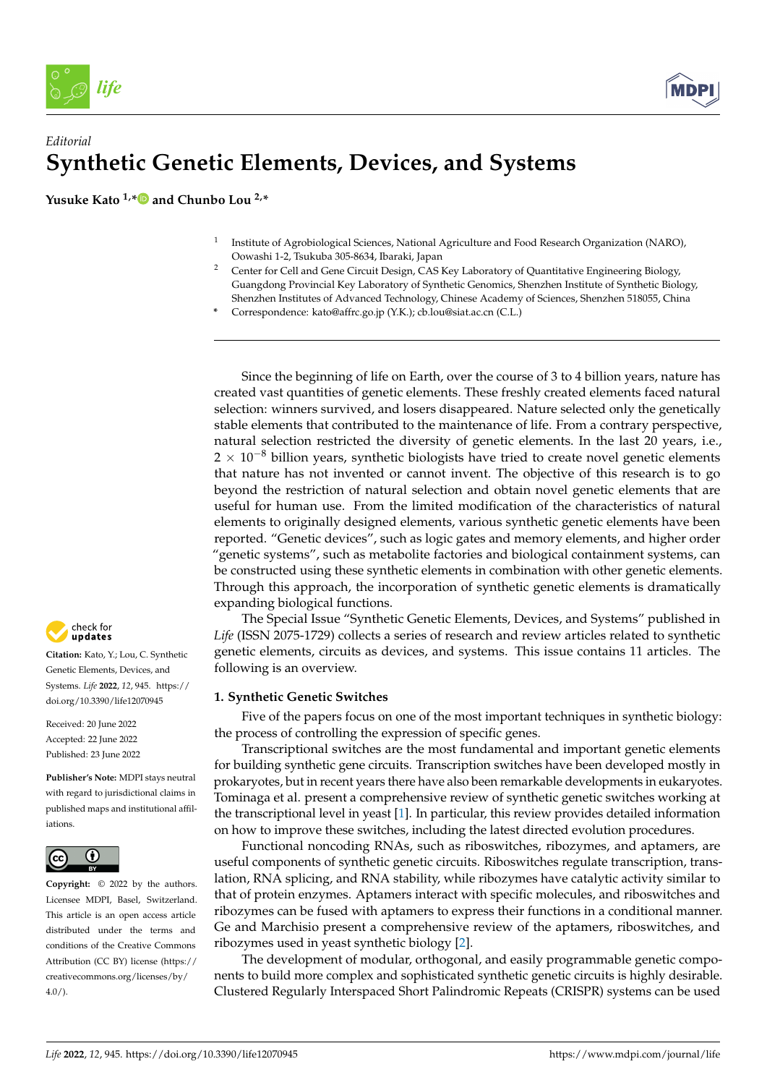*life* 



# *Editorial* **Synthetic Genetic Elements, Devices, and Systems**

**Yusuke Kato 1,[\\*](https://orcid.org/0000-0003-2424-4571) and Chunbo Lou 2,\***

- 1 Institute of Agrobiological Sciences, National Agriculture and Food Research Organization (NARO), Oowashi 1-2, Tsukuba 305-8634, Ibaraki, Japan
- <sup>2</sup> Center for Cell and Gene Circuit Design, CAS Key Laboratory of Quantitative Engineering Biology, Guangdong Provincial Key Laboratory of Synthetic Genomics, Shenzhen Institute of Synthetic Biology, Shenzhen Institutes of Advanced Technology, Chinese Academy of Sciences, Shenzhen 518055, China
- **\*** Correspondence: kato@affrc.go.jp (Y.K.); cb.lou@siat.ac.cn (C.L.)

Since the beginning of life on Earth, over the course of 3 to 4 billion years, nature has created vast quantities of genetic elements. These freshly created elements faced natural selection: winners survived, and losers disappeared. Nature selected only the genetically stable elements that contributed to the maintenance of life. From a contrary perspective, natural selection restricted the diversity of genetic elements. In the last 20 years, i.e.,  $2 \times 10^{-8}$  billion years, synthetic biologists have tried to create novel genetic elements that nature has not invented or cannot invent. The objective of this research is to go beyond the restriction of natural selection and obtain novel genetic elements that are useful for human use. From the limited modification of the characteristics of natural elements to originally designed elements, various synthetic genetic elements have been reported. "Genetic devices", such as logic gates and memory elements, and higher order "genetic systems", such as metabolite factories and biological containment systems, can be constructed using these synthetic elements in combination with other genetic elements. Through this approach, the incorporation of synthetic genetic elements is dramatically expanding biological functions.

The Special Issue "Synthetic Genetic Elements, Devices, and Systems" published in *Life* (ISSN 2075-1729) collects a series of research and review articles related to synthetic genetic elements, circuits as devices, and systems. This issue contains 11 articles. The following is an overview.

## **1. Synthetic Genetic Switches**

Five of the papers focus on one of the most important techniques in synthetic biology: the process of controlling the expression of specific genes.

Transcriptional switches are the most fundamental and important genetic elements for building synthetic gene circuits. Transcription switches have been developed mostly in prokaryotes, but in recent years there have also been remarkable developments in eukaryotes. Tominaga et al. present a comprehensive review of synthetic genetic switches working at the transcriptional level in yeast [\[1\]](#page-2-0). In particular, this review provides detailed information on how to improve these switches, including the latest directed evolution procedures.

Functional noncoding RNAs, such as riboswitches, ribozymes, and aptamers, are useful components of synthetic genetic circuits. Riboswitches regulate transcription, translation, RNA splicing, and RNA stability, while ribozymes have catalytic activity similar to that of protein enzymes. Aptamers interact with specific molecules, and riboswitches and ribozymes can be fused with aptamers to express their functions in a conditional manner. Ge and Marchisio present a comprehensive review of the aptamers, riboswitches, and ribozymes used in yeast synthetic biology [\[2\]](#page-2-1).

The development of modular, orthogonal, and easily programmable genetic components to build more complex and sophisticated synthetic genetic circuits is highly desirable. Clustered Regularly Interspaced Short Palindromic Repeats (CRISPR) systems can be used



**Citation:** Kato, Y.; Lou, C. Synthetic Genetic Elements, Devices, and Systems. *Life* **2022**, *12*, 945. [https://](https://doi.org/10.3390/life12070945) [doi.org/10.3390/life12070945](https://doi.org/10.3390/life12070945)

Received: 20 June 2022 Accepted: 22 June 2022 Published: 23 June 2022

**Publisher's Note:** MDPI stays neutral with regard to jurisdictional claims in published maps and institutional affiliations.



*[life](https://www.mdpi.com/journal/life)*<br> *Leatitorial*<br> **Synthetic Synthetic Synthetic Synthetic Synthetic Sensetic Elements, Device Systems.** *Life* **2022, 12, 945<br>
Musuke Kato <sup>1, \*</sup><br>
<b>Containers** 2.0 June 2022<br>
Accepted: 22 June 2022<br>
Publisher's Note: M **Copyright:** © 2022 by the authors. Licensee MDPI, Basel, Switzerland. This article is an open access article distributed under the terms and conditions of the Creative Commons Attribution (CC BY) license [\(https://](https://creativecommons.org/licenses/by/4.0/) [creativecommons.org/licenses/by/](https://creativecommons.org/licenses/by/4.0/)  $4.0/$ ).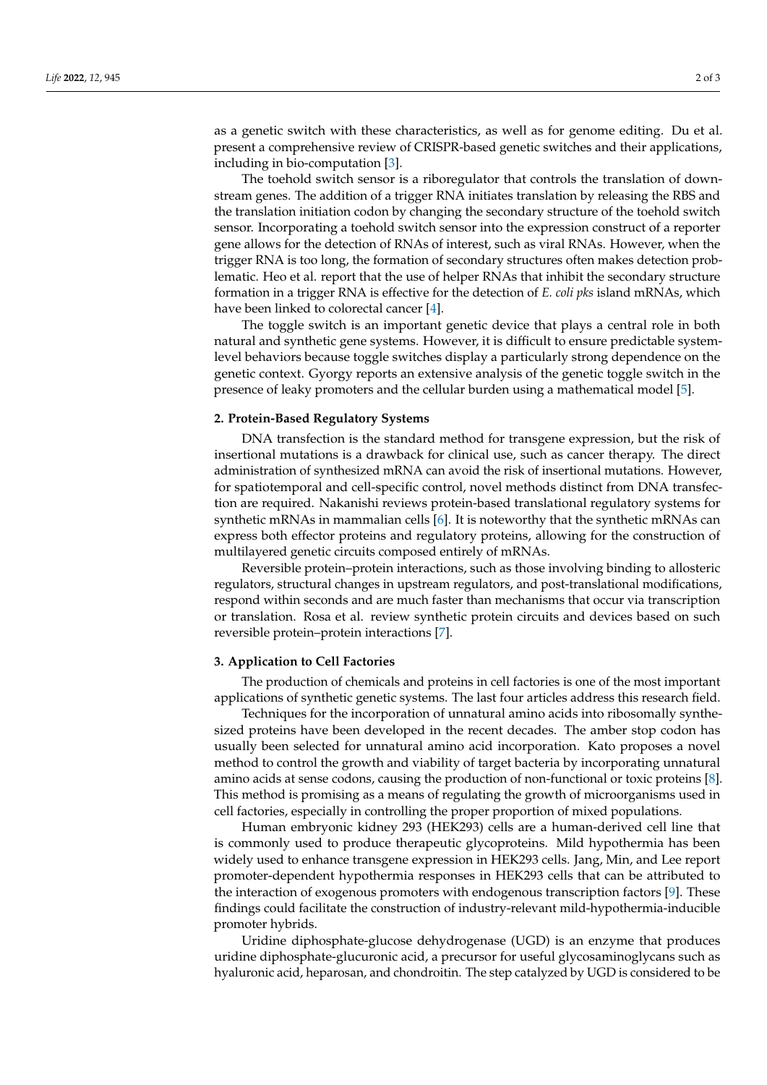as a genetic switch with these characteristics, as well as for genome editing. Du et al. present a comprehensive review of CRISPR-based genetic switches and their applications, including in bio-computation [\[3\]](#page-2-2).

The toehold switch sensor is a riboregulator that controls the translation of downstream genes. The addition of a trigger RNA initiates translation by releasing the RBS and the translation initiation codon by changing the secondary structure of the toehold switch sensor. Incorporating a toehold switch sensor into the expression construct of a reporter gene allows for the detection of RNAs of interest, such as viral RNAs. However, when the trigger RNA is too long, the formation of secondary structures often makes detection problematic. Heo et al. report that the use of helper RNAs that inhibit the secondary structure formation in a trigger RNA is effective for the detection of *E. coli pks* island mRNAs, which have been linked to colorectal cancer [\[4\]](#page-2-3).

The toggle switch is an important genetic device that plays a central role in both natural and synthetic gene systems. However, it is difficult to ensure predictable systemlevel behaviors because toggle switches display a particularly strong dependence on the genetic context. Gyorgy reports an extensive analysis of the genetic toggle switch in the presence of leaky promoters and the cellular burden using a mathematical model [\[5\]](#page-2-4).

#### **2. Protein-Based Regulatory Systems**

DNA transfection is the standard method for transgene expression, but the risk of insertional mutations is a drawback for clinical use, such as cancer therapy. The direct administration of synthesized mRNA can avoid the risk of insertional mutations. However, for spatiotemporal and cell-specific control, novel methods distinct from DNA transfection are required. Nakanishi reviews protein-based translational regulatory systems for synthetic mRNAs in mammalian cells [\[6\]](#page-2-5). It is noteworthy that the synthetic mRNAs can express both effector proteins and regulatory proteins, allowing for the construction of multilayered genetic circuits composed entirely of mRNAs.

Reversible protein–protein interactions, such as those involving binding to allosteric regulators, structural changes in upstream regulators, and post-translational modifications, respond within seconds and are much faster than mechanisms that occur via transcription or translation. Rosa et al. review synthetic protein circuits and devices based on such reversible protein–protein interactions [\[7\]](#page-2-6).

#### **3. Application to Cell Factories**

The production of chemicals and proteins in cell factories is one of the most important applications of synthetic genetic systems. The last four articles address this research field.

Techniques for the incorporation of unnatural amino acids into ribosomally synthesized proteins have been developed in the recent decades. The amber stop codon has usually been selected for unnatural amino acid incorporation. Kato proposes a novel method to control the growth and viability of target bacteria by incorporating unnatural amino acids at sense codons, causing the production of non-functional or toxic proteins [\[8\]](#page-2-7). This method is promising as a means of regulating the growth of microorganisms used in cell factories, especially in controlling the proper proportion of mixed populations.

Human embryonic kidney 293 (HEK293) cells are a human-derived cell line that is commonly used to produce therapeutic glycoproteins. Mild hypothermia has been widely used to enhance transgene expression in HEK293 cells. Jang, Min, and Lee report promoter-dependent hypothermia responses in HEK293 cells that can be attributed to the interaction of exogenous promoters with endogenous transcription factors [\[9\]](#page-2-8). These findings could facilitate the construction of industry-relevant mild-hypothermia-inducible promoter hybrids.

Uridine diphosphate-glucose dehydrogenase (UGD) is an enzyme that produces uridine diphosphate-glucuronic acid, a precursor for useful glycosaminoglycans such as hyaluronic acid, heparosan, and chondroitin. The step catalyzed by UGD is considered to be